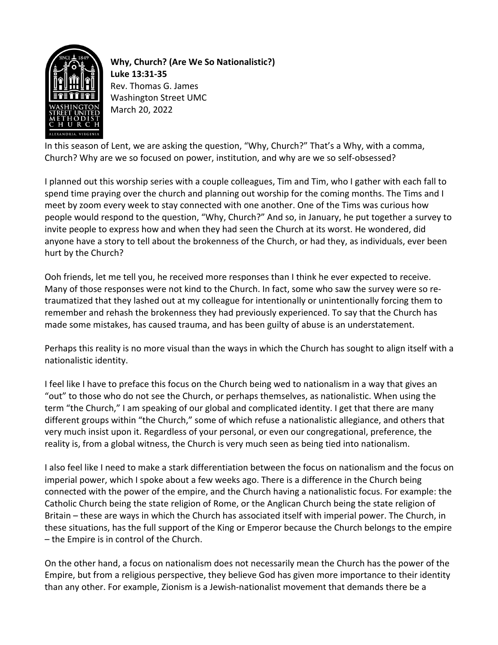

**Why, Church? (Are We So Nationalistic?) Luke 13:31-35** Rev. Thomas G. James Washington Street UMC March 20, 2022

In this season of Lent, we are asking the question, "Why, Church?" That's a Why, with a comma, Church? Why are we so focused on power, institution, and why are we so self-obsessed?

I planned out this worship series with a couple colleagues, Tim and Tim, who I gather with each fall to spend time praying over the church and planning out worship for the coming months. The Tims and I meet by zoom every week to stay connected with one another. One of the Tims was curious how people would respond to the question, "Why, Church?" And so, in January, he put together a survey to invite people to express how and when they had seen the Church at its worst. He wondered, did anyone have a story to tell about the brokenness of the Church, or had they, as individuals, ever been hurt by the Church?

Ooh friends, let me tell you, he received more responses than I think he ever expected to receive. Many of those responses were not kind to the Church. In fact, some who saw the survey were so retraumatized that they lashed out at my colleague for intentionally or unintentionally forcing them to remember and rehash the brokenness they had previously experienced. To say that the Church has made some mistakes, has caused trauma, and has been guilty of abuse is an understatement.

Perhaps this reality is no more visual than the ways in which the Church has sought to align itself with a nationalistic identity.

I feel like I have to preface this focus on the Church being wed to nationalism in a way that gives an "out" to those who do not see the Church, or perhaps themselves, as nationalistic. When using the term "the Church," I am speaking of our global and complicated identity. I get that there are many different groups within "the Church," some of which refuse a nationalistic allegiance, and others that very much insist upon it. Regardless of your personal, or even our congregational, preference, the reality is, from a global witness, the Church is very much seen as being tied into nationalism.

I also feel like I need to make a stark differentiation between the focus on nationalism and the focus on imperial power, which I spoke about a few weeks ago. There is a difference in the Church being connected with the power of the empire, and the Church having a nationalistic focus. For example: the Catholic Church being the state religion of Rome, or the Anglican Church being the state religion of Britain – these are ways in which the Church has associated itself with imperial power. The Church, in these situations, has the full support of the King or Emperor because the Church belongs to the empire – the Empire is in control of the Church.

On the other hand, a focus on nationalism does not necessarily mean the Church has the power of the Empire, but from a religious perspective, they believe God has given more importance to their identity than any other. For example, Zionism is a Jewish-nationalist movement that demands there be a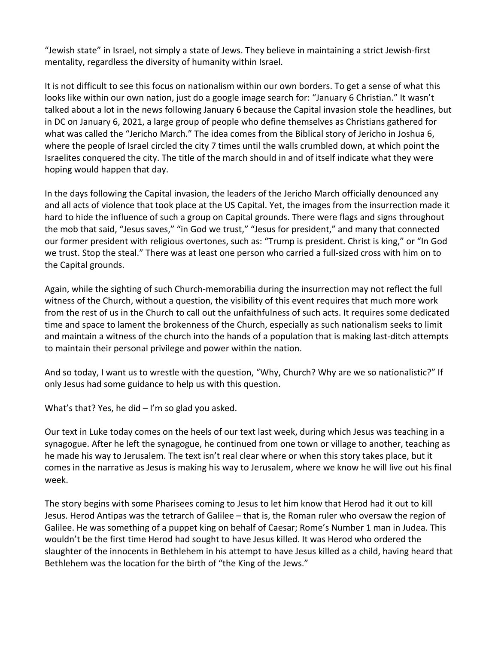"Jewish state" in Israel, not simply a state of Jews. They believe in maintaining a strict Jewish-first mentality, regardless the diversity of humanity within Israel.

It is not difficult to see this focus on nationalism within our own borders. To get a sense of what this looks like within our own nation, just do a google image search for: "January 6 Christian." It wasn't talked about a lot in the news following January 6 because the Capital invasion stole the headlines, but in DC on January 6, 2021, a large group of people who define themselves as Christians gathered for what was called the "Jericho March." The idea comes from the Biblical story of Jericho in Joshua 6, where the people of Israel circled the city 7 times until the walls crumbled down, at which point the Israelites conquered the city. The title of the march should in and of itself indicate what they were hoping would happen that day.

In the days following the Capital invasion, the leaders of the Jericho March officially denounced any and all acts of violence that took place at the US Capital. Yet, the images from the insurrection made it hard to hide the influence of such a group on Capital grounds. There were flags and signs throughout the mob that said, "Jesus saves," "in God we trust," "Jesus for president," and many that connected our former president with religious overtones, such as: "Trump is president. Christ is king," or "In God we trust. Stop the steal." There was at least one person who carried a full-sized cross with him on to the Capital grounds.

Again, while the sighting of such Church-memorabilia during the insurrection may not reflect the full witness of the Church, without a question, the visibility of this event requires that much more work from the rest of us in the Church to call out the unfaithfulness of such acts. It requires some dedicated time and space to lament the brokenness of the Church, especially as such nationalism seeks to limit and maintain a witness of the church into the hands of a population that is making last-ditch attempts to maintain their personal privilege and power within the nation.

And so today, I want us to wrestle with the question, "Why, Church? Why are we so nationalistic?" If only Jesus had some guidance to help us with this question.

What's that? Yes, he did – I'm so glad you asked.

Our text in Luke today comes on the heels of our text last week, during which Jesus was teaching in a synagogue. After he left the synagogue, he continued from one town or village to another, teaching as he made his way to Jerusalem. The text isn't real clear where or when this story takes place, but it comes in the narrative as Jesus is making his way to Jerusalem, where we know he will live out his final week.

The story begins with some Pharisees coming to Jesus to let him know that Herod had it out to kill Jesus. Herod Antipas was the tetrarch of Galilee – that is, the Roman ruler who oversaw the region of Galilee. He was something of a puppet king on behalf of Caesar; Rome's Number 1 man in Judea. This wouldn't be the first time Herod had sought to have Jesus killed. It was Herod who ordered the slaughter of the innocents in Bethlehem in his attempt to have Jesus killed as a child, having heard that Bethlehem was the location for the birth of "the King of the Jews."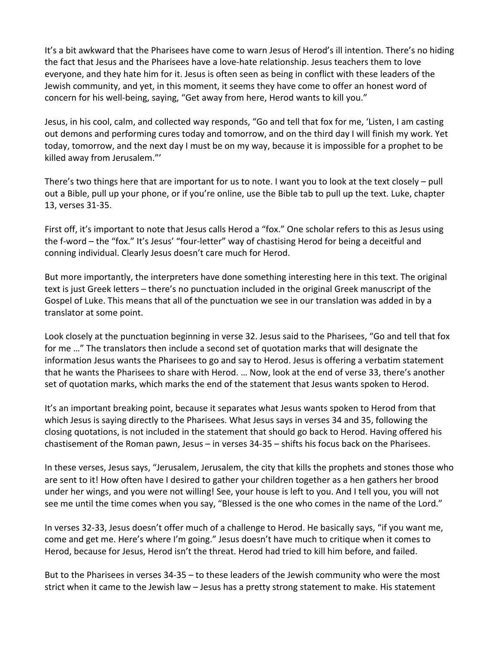It's a bit awkward that the Pharisees have come to warn Jesus of Herod's ill intention. There's no hiding the fact that Jesus and the Pharisees have a love-hate relationship. Jesus teachers them to love everyone, and they hate him for it. Jesus is often seen as being in conflict with these leaders of the Jewish community, and yet, in this moment, it seems they have come to offer an honest word of concern for his well-being, saying, "Get away from here, Herod wants to kill you."

Jesus, in his cool, calm, and collected way responds, "Go and tell that fox for me, 'Listen, I am casting out demons and performing cures today and tomorrow, and on the third day I will finish my work. Yet today, tomorrow, and the next day I must be on my way, because it is impossible for a prophet to be killed away from Jerusalem."'

There's two things here that are important for us to note. I want you to look at the text closely – pull out a Bible, pull up your phone, or if you're online, use the Bible tab to pull up the text. Luke, chapter 13, verses 31-35.

First off, it's important to note that Jesus calls Herod a "fox." One scholar refers to this as Jesus using the f-word – the "fox." It's Jesus' "four-letter" way of chastising Herod for being a deceitful and conning individual. Clearly Jesus doesn't care much for Herod.

But more importantly, the interpreters have done something interesting here in this text. The original text is just Greek letters – there's no punctuation included in the original Greek manuscript of the Gospel of Luke. This means that all of the punctuation we see in our translation was added in by a translator at some point.

Look closely at the punctuation beginning in verse 32. Jesus said to the Pharisees, "Go and tell that fox for me …" The translators then include a second set of quotation marks that will designate the information Jesus wants the Pharisees to go and say to Herod. Jesus is offering a verbatim statement that he wants the Pharisees to share with Herod. … Now, look at the end of verse 33, there's another set of quotation marks, which marks the end of the statement that Jesus wants spoken to Herod.

It's an important breaking point, because it separates what Jesus wants spoken to Herod from that which Jesus is saying directly to the Pharisees. What Jesus says in verses 34 and 35, following the closing quotations, is not included in the statement that should go back to Herod. Having offered his chastisement of the Roman pawn, Jesus – in verses 34-35 – shifts his focus back on the Pharisees.

In these verses, Jesus says, "Jerusalem, Jerusalem, the city that kills the prophets and stones those who are sent to it! How often have I desired to gather your children together as a hen gathers her brood under her wings, and you were not willing! See, your house is left to you. And I tell you, you will not see me until the time comes when you say, "Blessed is the one who comes in the name of the Lord."

In verses 32-33, Jesus doesn't offer much of a challenge to Herod. He basically says, "if you want me, come and get me. Here's where I'm going." Jesus doesn't have much to critique when it comes to Herod, because for Jesus, Herod isn't the threat. Herod had tried to kill him before, and failed.

But to the Pharisees in verses 34-35 – to these leaders of the Jewish community who were the most strict when it came to the Jewish law – Jesus has a pretty strong statement to make. His statement